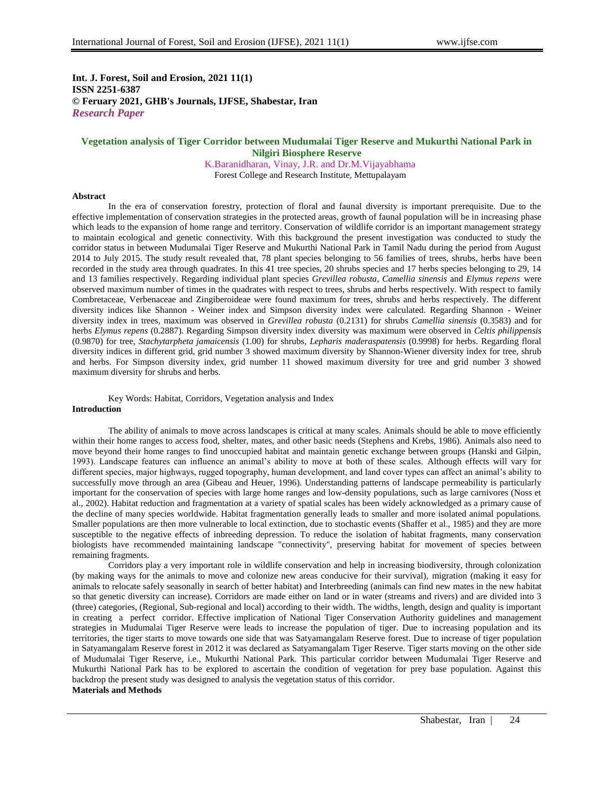**Int. J. Forest, Soil and Erosion, 2021 11(1) ISSN 2251-6387 © Feruary 2021, GHB's Journals, IJFSE, Shabestar, Iran** *Research Paper*

# **Vegetation analysis of Tiger Corridor between Mudumalai Tiger Reserve and Mukurthi National Park in Nilgiri Biosphere Reserve**

K.Baranidharan, Vinay, J.R. and Dr.M.Vijayabhama Forest College and Research Institute, Mettupalayam

#### **Abstract**

In the era of conservation forestry, protection of floral and faunal diversity is important prerequisite. Due to the effective implementation of conservation strategies in the protected areas, growth of faunal population will be in increasing phase which leads to the expansion of home range and territory. Conservation of wildlife corridor is an important management strategy to maintain ecological and genetic connectivity. With this background the present investigation was conducted to study the corridor status in between Mudumalai Tiger Reserve and Mukurthi National Park in Tamil Nadu during the period from August 2014 to July 2015. The study result revealed that, 78 plant species belonging to 56 families of trees, shrubs, herbs have been recorded in the study area through quadrates. In this 41 tree species, 20 shrubs species and 17 herbs species belonging to 29, 14 and 13 families respectively. Regarding individual plant species *Grevillea robusta*, *Camellia sinensis* and *Elymus repens* were observed maximum number of times in the quadrates with respect to trees, shrubs and herbs respectively. With respect to family Combretaceae, Verbenaceae and Zingiberoideae were found maximum for trees, shrubs and herbs respectively. The different diversity indices like Shannon - Weiner index and Simpson diversity index were calculated. Regarding Shannon - Weiner diversity index in trees, maximum was observed in *Grevillea robusta* (0.2131) for shrubs *Camellia sinensis* (0.3583) and for herbs *Elymus repens* (0.2887). Regarding Simpson diversity index diversity was maximum were observed in *Celtis philippensis*  (0.9870) for tree, *Stachytarpheta jamaicensis* (1.00) for shrubs, *Lepharis maderaspatensis* (0.9998) for herbs. Regarding floral diversity indices in different grid, grid number 3 showed maximum diversity by Shannon-Wiener diversity index for tree, shrub and herbs. For Simpson diversity index, grid number 11 showed maximum diversity for tree and grid number 3 showed maximum diversity for shrubs and herbs.

Key Words: Habitat, Corridors, Vegetation analysis and Index **Introduction**

The ability of animals to move across landscapes is critical at many scales. Animals should be able to move efficiently within their home ranges to access food, shelter, mates, and other basic needs (Stephens and Krebs, 1986). Animals also need to move beyond their home ranges to find unoccupied habitat and maintain genetic exchange between groups (Hanski and Gilpin, 1993). Landscape features can influence an animal's ability to move at both of these scales. Although effects will vary for different species, major highways, rugged topography, human development, and land cover types can affect an animal's ability to successfully move through an area (Gibeau and Heuer, 1996). Understanding patterns of landscape permeability is particularly important for the conservation of species with large home ranges and low-density populations, such as large carnivores (Noss et al., 2002). Habitat reduction and fragmentation at a variety of spatial scales has been widely acknowledged as a primary cause of the decline of many species worldwide. Habitat fragmentation generally leads to smaller and more isolated animal populations. Smaller populations are then more vulnerable to local extinction, due to stochastic events (Shaffer et al., 1985) and they are more susceptible to the negative effects of inbreeding depression. To reduce the isolation of habitat fragments, many conservation biologists have recommended maintaining landscape "connectivity", preserving habitat for movement of species between remaining fragments.

Corridors play a very important role in wildlife conservation and help in increasing biodiversity, through colonization (by making ways for the animals to move and colonize new areas conducive for their survival), migration (making it easy for animals to relocate safely seasonally in search of better habitat) and Interbreeding (animals can find new mates in the new habitat so that genetic diversity can increase). Corridors are made either on land or in water (streams and rivers) and are divided into 3 (three) categories, (Regional, Sub-regional and local) according to their width. The widths, length, design and quality is important in creating a perfect corridor. Effective implication of National Tiger Conservation Authority guidelines and management strategies in Mudumalai Tiger Reserve were leads to increase the population of tiger. Due to increasing population and its territories, the tiger starts to move towards one side that was Satyamangalam Reserve forest. Due to increase of tiger population in Satyamangalam Reserve forest in 2012 it was declared as Satyamangalam Tiger Reserve. Tiger starts moving on the other side of Mudumalai Tiger Reserve, i.e., Mukurthi National Park. This particular corridor between Mudumalai Tiger Reserve and Mukurthi National Park has to be explored to ascertain the condition of vegetation for prey base population. Against this backdrop the present study was designed to analysis the vegetation status of this corridor. **Materials and Methods**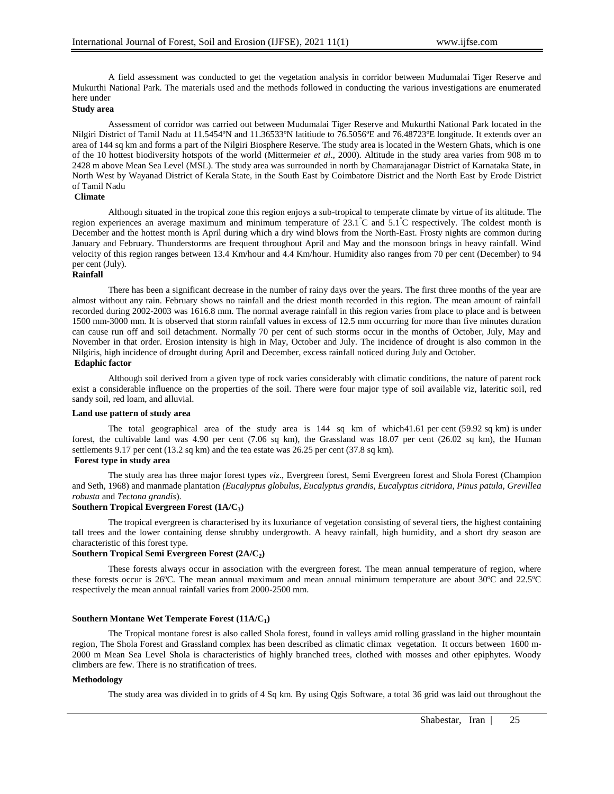A field assessment was conducted to get the vegetation analysis in corridor between Mudumalai Tiger Reserve and Mukurthi National Park. The materials used and the methods followed in conducting the various investigations are enumerated here under

# **Study area**

Assessment of corridor was carried out between Mudumalai Tiger Reserve and Mukurthi National Park located in the Nilgiri District of Tamil Nadu at 11.5454ºN and 11.36533ºN latitiude to 76.5056ºE and 76.48723ºE longitude. It extends over an area of 144 sq km and forms a part of the Nilgiri Biosphere Reserve. The study area is located in the Western Ghats, which is one of the 10 hottest biodiversity hotspots of the world (Mittermeier *et al*., 2000). Altitude in the study area varies from 908 m to 2428 m above Mean Sea Level (MSL). The study area was surrounded in north by Chamarajanagar District of Karnataka State, in North West by Wayanad District of Kerala State, in the South East by Coimbatore District and the North East by Erode District of Tamil Nadu

## **Climate**

Although situated in the tropical zone this region enjoys a sub-tropical to temperate climate by virtue of its altitude. The region experiences an average maximum and minimum temperature of  $23.1^{\circ}$ C and  $5.1^{\circ}$ C respectively. The coldest month is December and the hottest month is April during which a dry wind blows from the North-East. Frosty nights are common during January and February. Thunderstorms are frequent throughout April and May and the monsoon brings in heavy rainfall. Wind velocity of this region ranges between 13.4 Km/hour and 4.4 Km/hour. Humidity also ranges from 70 per cent (December) to 94 per cent (July).

## **Rainfall**

There has been a significant decrease in the number of rainy days over the years. The first three months of the year are almost without any rain. February shows no rainfall and the driest month recorded in this region. The mean amount of rainfall recorded during 2002-2003 was 1616.8 mm. The normal average rainfall in this region varies from place to place and is between 1500 mm-3000 mm. It is observed that storm rainfall values in excess of 12.5 mm occurring for more than five minutes duration can cause run off and soil detachment. Normally 70 per cent of such storms occur in the months of October, July, May and November in that order. Erosion intensity is high in May, October and July. The incidence of drought is also common in the Nilgiris, high incidence of drought during April and December, excess rainfall noticed during July and October. **Edaphic factor**

Although soil derived from a given type of rock varies considerably with climatic conditions, the nature of parent rock exist a considerable influence on the properties of the soil. There were four major type of soil available viz, lateritic soil, red sandy soil, red loam, and alluvial.

## **Land use pattern of study area**

The total geographical area of the study area is  $144$  sq km of which $41.61$  per cent (59.92 sq km) is under forest, the cultivable land was 4.90 per cent (7.06 sq km), the Grassland was 18.07 per cent (26.02 sq km), the Human settlements 9.17 per cent (13.2 sq km) and the tea estate was 26.25 per cent (37.8 sq km).

## **Forest type in study area**

The study area has three major forest types *viz*., Evergreen forest, Semi Evergreen forest and Shola Forest (Champion and Seth, 1968) and manmade plantation *(Eucalyptus globulus, Eucalyptus grandis, Eucalyptus citridora, Pinus patula, Grevillea robusta* and *Tectona grandis*).

### **Southern Tropical Evergreen Forest (1A/C<sup>3</sup> )**

The tropical evergreen is characterised by its luxuriance of vegetation consisting of several tiers, the highest containing tall trees and the lower containing dense shrubby undergrowth. A heavy rainfall, high humidity, and a short dry season are characteristic of this forest type.

### **Southern Tropical Semi Evergreen Forest (2A/C<sup>2</sup> )**

These forests always occur in association with the evergreen forest. The mean annual temperature of region, where these forests occur is 26ºC. The mean annual maximum and mean annual minimum temperature are about 30ºC and 22.5ºC respectively the mean annual rainfall varies from 2000-2500 mm.

### **Southern Montane Wet Temperate Forest (11A/C<sup>1</sup> )**

The Tropical montane forest is also called Shola forest, found in valleys amid rolling grassland in the higher mountain region, The Shola Forest and Grassland complex has been described as climatic climax vegetation. It occurs between 1600 m-2000 m Mean Sea Level Shola is characteristics of highly branched trees, clothed with mosses and other epiphytes. Woody climbers are few. There is no stratification of trees.

### **Methodology**

The study area was divided in to grids of 4 Sq km. By using Qgis Software, a total 36 grid was laid out throughout the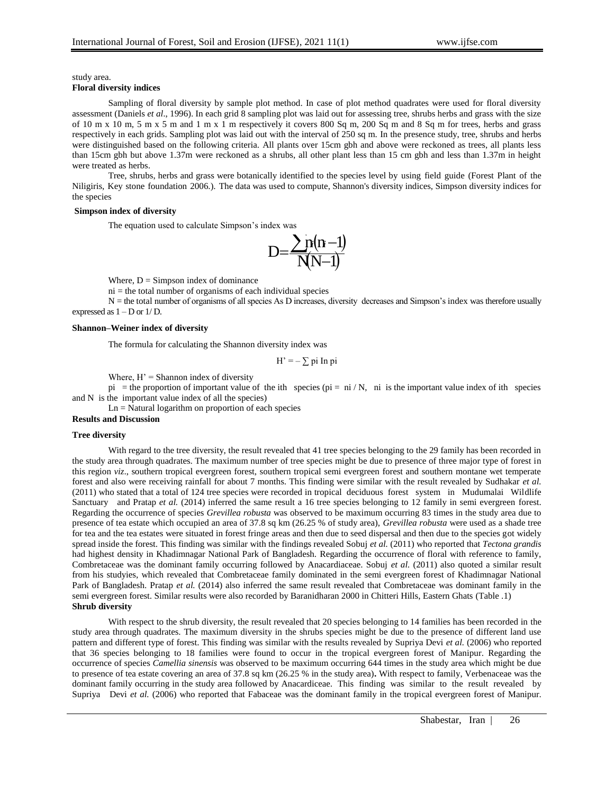study area.

# **Floral diversity indices**

Sampling of floral diversity by sample plot method. In case of plot method quadrates were used for floral diversity assessment (Daniels *et al*., 1996). In each grid 8 sampling plot was laid out for assessing tree, shrubs herbs and grass with the size of 10 m x 10 m, 5 m x 5 m and 1 m x 1 m respectively it covers 800 Sq m, 200 Sq m and 8 Sq m for trees, herbs and grass respectively in each grids. Sampling plot was laid out with the interval of 250 sq m. In the presence study, tree, shrubs and herbs were distinguished based on the following criteria. All plants over 15cm gbh and above were reckoned as trees, all plants less than 15cm gbh but above 1.37m were reckoned as a shrubs, all other plant less than 15 cm gbh and less than 1.37m in height were treated as herbs.

Tree, shrubs, herbs and grass were botanically identified to the species level by using field guide (Forest Plant of the Niligiris, Key stone foundation 2006.). The data was used to compute, Shannon's diversity indices, Simpson diversity indices for the species

#### **Simpson index of diversity**

The equation used to calculate Simpson's index was



Where,  $D =$  Simpson index of dominance

 $ni =$  the total number of organisms of each individual species

 $N =$  the total number of organisms of all species As D increases, diversity decreases and Simpson's index was therefore usually expressed as  $1 - D$  or  $1/D$ .

### **Shannon–Weiner index of diversity**

The formula for calculating the Shannon diversity index was

$$
H' = -\sum \pi i \ln \pi i
$$

Where,  $H' =$  Shannon index of diversity

pi = the proportion of important value of the ith species ( $pi = ni / N$ , ni is the important value index of ith species and N is the important value index of all the species)

Ln = Natural logarithm on proportion of each species

### **Results and Discussion**

#### **Tree diversity**

With regard to the tree diversity, the result revealed that 41 tree species belonging to the 29 family has been recorded in the study area through quadrates. The maximum number of tree species might be due to presence of three major type of forest in this region *viz*., southern tropical evergreen forest, southern tropical semi evergreen forest and southern montane wet temperate forest and also were receiving rainfall for about 7 months. This finding were similar with the result revealed by Sudhakar *et al.*  (2011) who stated that a total of 124 tree species were recorded in tropical deciduous forest system in Mudumalai Wildlife Sanctuary and Pratap *et al.* (2014) inferred the same result a 16 tree species belonging to 12 family in semi evergreen forest. Regarding the occurrence of species *Grevillea robusta* was observed to be maximum occurring 83 times in the study area due to presence of tea estate which occupied an area of 37.8 sq km (26.25 % of study area), *Grevillea robusta* were used as a shade tree for tea and the tea estates were situated in forest fringe areas and then due to seed dispersal and then due to the species got widely spread inside the forest. This finding was similar with the findings revealed Sobuj *et al.* (2011) who reported that *Tectona grandis*  had highest density in Khadimnagar National Park of Bangladesh. Regarding the occurrence of floral with reference to family, Combretaceae was the dominant family occurring followed by Anacardiaceae. Sobuj *et al.* (2011) also quoted a similar result from his studyies, which revealed that Combretaceae family dominated in the semi evergreen forest of Khadimnagar National Park of Bangladesh. Pratap *et al.* (2014) also inferred the same result revealed that Combretaceae was dominant family in the semi evergreen forest. Similar results were also recorded by Baranidharan 2000 in Chitteri Hills, Eastern Ghats (Table .1) **Shrub diversity**

With respect to the shrub diversity, the result revealed that 20 species belonging to 14 families has been recorded in the study area through quadrates. The maximum diversity in the shrubs species might be due to the presence of different land use pattern and different type of forest. This finding was similar with the results revealed by Supriya Devi *et al.* (2006) who reported that 36 species belonging to 18 families were found to occur in the tropical evergreen forest of Manipur. Regarding the occurrence of species *Camellia sinensis* was observed to be maximum occurring 644 times in the study area which might be due to presence of tea estate covering an area of 37.8 sq km (26.25 % in the study area)**.** With respect to family, Verbenaceae was the dominant family occurring in the study area followed by Anacardiceae. This finding was similar to the result revealed by Supriya Devi *et al.* (2006) who reported that Fabaceae was the dominant family in the tropical evergreen forest of Manipur.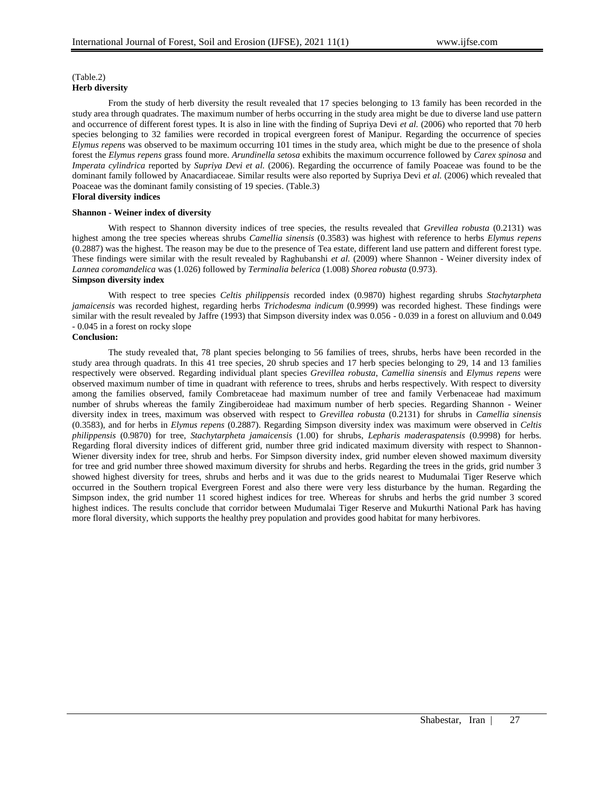## (Table.2) **Herb diversity**

From the study of herb diversity the result revealed that 17 species belonging to 13 family has been recorded in the study area through quadrates. The maximum number of herbs occurring in the study area might be due to diverse land use pattern and occurrence of different forest types. It is also in line with the finding of Supriya Devi *et al.* (2006) who reported that 70 herb species belonging to 32 families were recorded in tropical evergreen forest of Manipur. Regarding the occurrence of species *Elymus repens* was observed to be maximum occurring 101 times in the study area, which might be due to the presence of shola forest the *Elymus repens* grass found more. *Arundinella setosa* exhibits the maximum occurrence followed by *Carex spinosa* and *Imperata cylindrica* reported by *Supriya Devi et al.* (2006). Regarding the occurrence of family Poaceae was found to be the dominant family followed by Anacardiaceae. Similar results were also reported by Supriya Devi *et al.* (2006) which revealed that Poaceae was the dominant family consisting of 19 species. (Table.3) **Floral diversity indices**

# **Shannon - Weiner index of diversity**

With respect to Shannon diversity indices of tree species, the results revealed that *Grevillea robusta* (0.2131) was highest among the tree species whereas shrubs *Camellia sinensis* (0.3583) was highest with reference to herbs *Elymus repens*  (0.2887) was the highest. The reason may be due to the presence of Tea estate, different land use pattern and different forest type. These findings were similar with the result revealed by Raghubanshi *et al.* (2009) where Shannon - Weiner diversity index of *Lannea coromandelica* was (1.026) followed by *Terminalia belerica* (1.008) *Shorea robusta* (0.973).

## **Simpson diversity index**

With respect to tree species *Celtis philippensis* recorded index (0.9870) highest regarding shrubs *Stachytarpheta jamaicensis* was recorded highest, regarding herbs *Trichodesma indicum* (0.9999) was recorded highest. These findings were similar with the result revealed by Jaffre (1993) that Simpson diversity index was 0.056 - 0.039 in a forest on alluvium and 0.049 - 0.045 in a forest on rocky slope

# **Conclusion:**

The study revealed that, 78 plant species belonging to 56 families of trees, shrubs, herbs have been recorded in the study area through quadrats. In this 41 tree species, 20 shrub species and 17 herb species belonging to 29, 14 and 13 families respectively were observed. Regarding individual plant species *Grevillea robusta*, *Camellia sinensis* and *Elymus repens* were observed maximum number of time in quadrant with reference to trees, shrubs and herbs respectively. With respect to diversity among the families observed, family Combretaceae had maximum number of tree and family Verbenaceae had maximum number of shrubs whereas the family Zingiberoideae had maximum number of herb species. Regarding Shannon - Weiner diversity index in trees, maximum was observed with respect to *Grevillea robusta* (0.2131) for shrubs in *Camellia sinensis*  (0.3583), and for herbs in *Elymus repens* (0.2887). Regarding Simpson diversity index was maximum were observed in *Celtis philippensis* (0.9870) for tree, *Stachytarpheta jamaicensis* (1.00) for shrubs, *Lepharis maderaspatensis* (0.9998) for herbs. Regarding floral diversity indices of different grid, number three grid indicated maximum diversity with respect to Shannon-Wiener diversity index for tree, shrub and herbs. For Simpson diversity index, grid number eleven showed maximum diversity for tree and grid number three showed maximum diversity for shrubs and herbs. Regarding the trees in the grids, grid number 3 showed highest diversity for trees, shrubs and herbs and it was due to the grids nearest to Mudumalai Tiger Reserve which occurred in the Southern tropical Evergreen Forest and also there were very less disturbance by the human. Regarding the Simpson index, the grid number 11 scored highest indices for tree. Whereas for shrubs and herbs the grid number 3 scored highest indices. The results conclude that corridor between Mudumalai Tiger Reserve and Mukurthi National Park has having more floral diversity, which supports the healthy prey population and provides good habitat for many herbivores.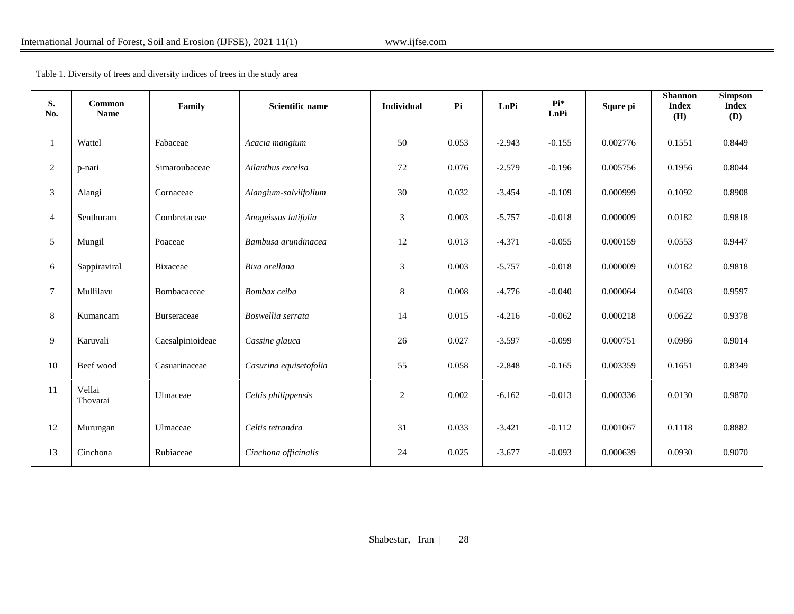Table 1. Diversity of trees and diversity indices of trees in the study area

| S.<br>No.      | Common<br><b>Name</b> | Family           | <b>Scientific name</b> | <b>Individual</b> | Pi    | LnPi     | $Pi*$<br>LnPi | Squre pi | <b>Shannon</b><br><b>Index</b><br>(H) | <b>Simpson</b><br><b>Index</b><br><b>(D)</b> |
|----------------|-----------------------|------------------|------------------------|-------------------|-------|----------|---------------|----------|---------------------------------------|----------------------------------------------|
| 1              | Wattel                | Fabaceae         | Acacia mangium         | 50                | 0.053 | $-2.943$ | $-0.155$      | 0.002776 | 0.1551                                | 0.8449                                       |
| 2              | p-nari                | Simaroubaceae    | Ailanthus excelsa      | 72                | 0.076 | $-2.579$ | $-0.196$      | 0.005756 | 0.1956                                | 0.8044                                       |
| $\mathfrak{Z}$ | Alangi                | Cornaceae        | Alangium-salviifolium  | 30                | 0.032 | $-3.454$ | $-0.109$      | 0.000999 | 0.1092                                | 0.8908                                       |
| $\overline{4}$ | Senthuram             | Combretaceae     | Anogeissus latifolia   | 3                 | 0.003 | $-5.757$ | $-0.018$      | 0.000009 | 0.0182                                | 0.9818                                       |
| $\sqrt{5}$     | Mungil                | Poaceae          | Bambusa arundinacea    | 12                | 0.013 | $-4.371$ | $-0.055$      | 0.000159 | 0.0553                                | 0.9447                                       |
| 6              | Sappiraviral          | <b>Bixaceae</b>  | Bixa orellana          | 3                 | 0.003 | $-5.757$ | $-0.018$      | 0.000009 | 0.0182                                | 0.9818                                       |
| $\tau$         | Mullilavu             | Bombacaceae      | Bombax ceiba           | 8                 | 0.008 | $-4.776$ | $-0.040$      | 0.000064 | 0.0403                                | 0.9597                                       |
| $8\,$          | Kumancam              | Burseraceae      | Boswellia serrata      | 14                | 0.015 | $-4.216$ | $-0.062$      | 0.000218 | 0.0622                                | 0.9378                                       |
| $\overline{9}$ | Karuvali              | Caesalpinioideae | Cassine glauca         | 26                | 0.027 | $-3.597$ | $-0.099$      | 0.000751 | 0.0986                                | 0.9014                                       |
| 10             | Beef wood             | Casuarinaceae    | Casurina equisetofolia | 55                | 0.058 | $-2.848$ | $-0.165$      | 0.003359 | 0.1651                                | 0.8349                                       |
| 11             | Vellai<br>Thovarai    | Ulmaceae         | Celtis philippensis    | 2                 | 0.002 | $-6.162$ | $-0.013$      | 0.000336 | 0.0130                                | 0.9870                                       |
| 12             | Murungan              | Ulmaceae         | Celtis tetrandra       | 31                | 0.033 | $-3.421$ | $-0.112$      | 0.001067 | 0.1118                                | 0.8882                                       |
| 13             | Cinchona              | Rubiaceae        | Cinchona officinalis   | 24                | 0.025 | $-3.677$ | $-0.093$      | 0.000639 | 0.0930                                | 0.9070                                       |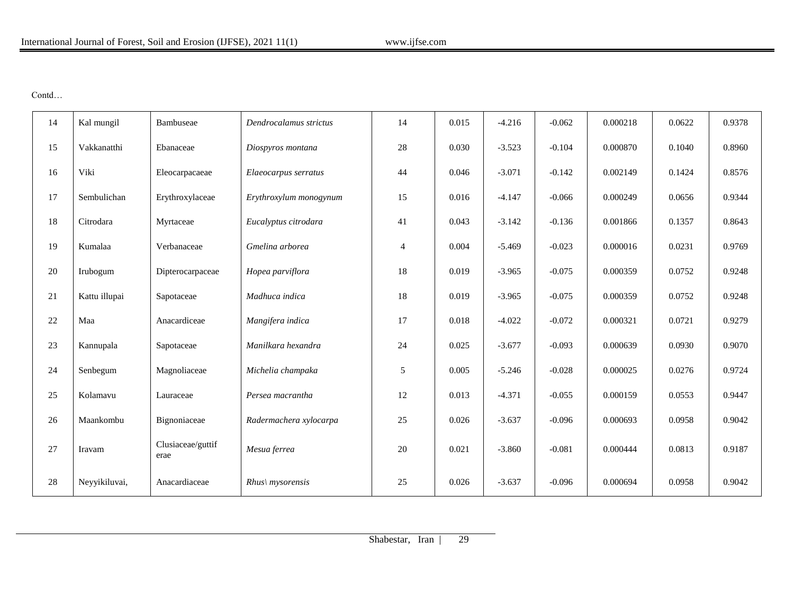Contd…

| 14 | Kal mungil    | Bambuseae                 | Dendrocalamus strictus | 14             | 0.015 | $-4.216$ | $-0.062$ | 0.000218 | 0.0622 | 0.9378 |
|----|---------------|---------------------------|------------------------|----------------|-------|----------|----------|----------|--------|--------|
| 15 | Vakkanatthi   | Ebanaceae                 | Diospyros montana      | 28             | 0.030 | $-3.523$ | $-0.104$ | 0.000870 | 0.1040 | 0.8960 |
| 16 | Viki          | Eleocarpacaeae            | Elaeocarpus serratus   | 44             | 0.046 | $-3.071$ | $-0.142$ | 0.002149 | 0.1424 | 0.8576 |
| 17 | Sembulichan   | Erythroxylaceae           | Erythroxylum monogynum | 15             | 0.016 | $-4.147$ | $-0.066$ | 0.000249 | 0.0656 | 0.9344 |
| 18 | Citrodara     | Myrtaceae                 | Eucalyptus citrodara   | 41             | 0.043 | $-3.142$ | $-0.136$ | 0.001866 | 0.1357 | 0.8643 |
| 19 | Kumalaa       | Verbanaceae               | Gmelina arborea        | $\overline{4}$ | 0.004 | $-5.469$ | $-0.023$ | 0.000016 | 0.0231 | 0.9769 |
| 20 | Irubogum      | Dipterocarpaceae          | Hopea parviflora       | 18             | 0.019 | $-3.965$ | $-0.075$ | 0.000359 | 0.0752 | 0.9248 |
| 21 | Kattu illupai | Sapotaceae                | Madhuca indica         | 18             | 0.019 | $-3.965$ | $-0.075$ | 0.000359 | 0.0752 | 0.9248 |
| 22 | Maa           | Anacardiceae              | Mangifera indica       | 17             | 0.018 | $-4.022$ | $-0.072$ | 0.000321 | 0.0721 | 0.9279 |
| 23 | Kannupala     | Sapotaceae                | Manilkara hexandra     | 24             | 0.025 | $-3.677$ | $-0.093$ | 0.000639 | 0.0930 | 0.9070 |
| 24 | Senbegum      | Magnoliaceae              | Michelia champaka      | 5              | 0.005 | $-5.246$ | $-0.028$ | 0.000025 | 0.0276 | 0.9724 |
| 25 | Kolamavu      | Lauraceae                 | Persea macrantha       | 12             | 0.013 | $-4.371$ | $-0.055$ | 0.000159 | 0.0553 | 0.9447 |
| 26 | Maankombu     | Bignoniaceae              | Radermachera xylocarpa | 25             | 0.026 | $-3.637$ | $-0.096$ | 0.000693 | 0.0958 | 0.9042 |
| 27 | Iravam        | Clusiaceae/guttif<br>erae | Mesua ferrea           | 20             | 0.021 | $-3.860$ | $-0.081$ | 0.000444 | 0.0813 | 0.9187 |
| 28 | Neyyikiluvai, | Anacardiaceae             | $Rhus \,$ mysorensis   | 25             | 0.026 | $-3.637$ | $-0.096$ | 0.000694 | 0.0958 | 0.9042 |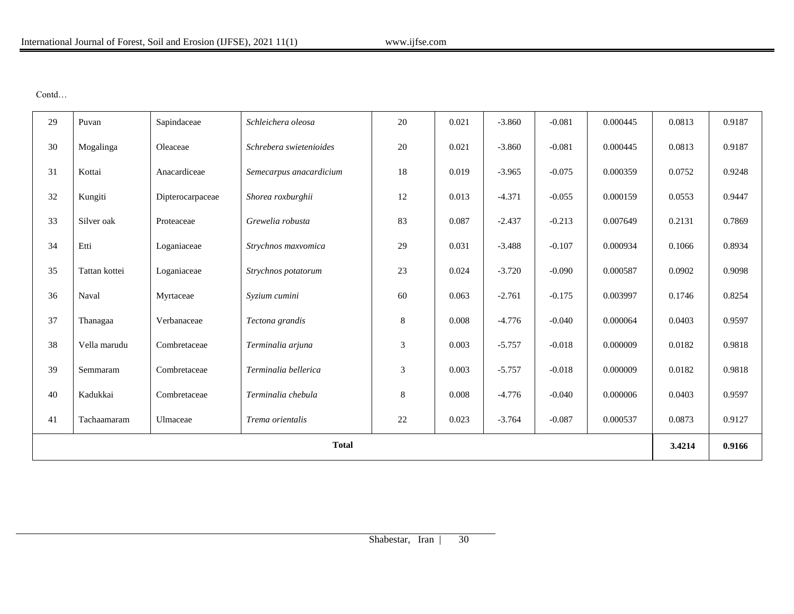Contd…

| 29           | Puvan         | Sapindaceae      | Schleichera oleosa      | 20 | 0.021 | $-3.860$ | $-0.081$ | 0.000445 | 0.0813 | 0.9187 |
|--------------|---------------|------------------|-------------------------|----|-------|----------|----------|----------|--------|--------|
| 30           | Mogalinga     | Oleaceae         | Schrebera swietenioides | 20 | 0.021 | $-3.860$ | $-0.081$ | 0.000445 | 0.0813 | 0.9187 |
| 31           | Kottai        | Anacardiceae     | Semecarpus anacardicium | 18 | 0.019 | $-3.965$ | $-0.075$ | 0.000359 | 0.0752 | 0.9248 |
| 32           | Kungiti       | Dipterocarpaceae | Shorea roxburghii       | 12 | 0.013 | $-4.371$ | $-0.055$ | 0.000159 | 0.0553 | 0.9447 |
| 33           | Silver oak    | Proteaceae       | Grewelia robusta        | 83 | 0.087 | $-2.437$ | $-0.213$ | 0.007649 | 0.2131 | 0.7869 |
| 34           | Etti          | Loganiaceae      | Strychnos maxvomica     | 29 | 0.031 | $-3.488$ | $-0.107$ | 0.000934 | 0.1066 | 0.8934 |
| 35           | Tattan kottei | Loganiaceae      | Strychnos potatorum     | 23 | 0.024 | $-3.720$ | $-0.090$ | 0.000587 | 0.0902 | 0.9098 |
| 36           | Naval         | Myrtaceae        | Syzium cumini           | 60 | 0.063 | $-2.761$ | $-0.175$ | 0.003997 | 0.1746 | 0.8254 |
| 37           | Thanagaa      | Verbanaceae      | Tectona grandis         | 8  | 0.008 | $-4.776$ | $-0.040$ | 0.000064 | 0.0403 | 0.9597 |
| 38           | Vella marudu  | Combretaceae     | Terminalia arjuna       | 3  | 0.003 | $-5.757$ | $-0.018$ | 0.000009 | 0.0182 | 0.9818 |
| 39           | Semmaram      | Combretaceae     | Terminalia bellerica    | 3  | 0.003 | $-5.757$ | $-0.018$ | 0.000009 | 0.0182 | 0.9818 |
| 40           | Kadukkai      | Combretaceae     | Terminalia chebula      | 8  | 0.008 | $-4.776$ | $-0.040$ | 0.000006 | 0.0403 | 0.9597 |
| 41           | Tachaamaram   | Ulmaceae         | Trema orientalis        | 22 | 0.023 | $-3.764$ | $-0.087$ | 0.000537 | 0.0873 | 0.9127 |
| <b>Total</b> |               |                  |                         |    |       |          |          | 3.4214   | 0.9166 |        |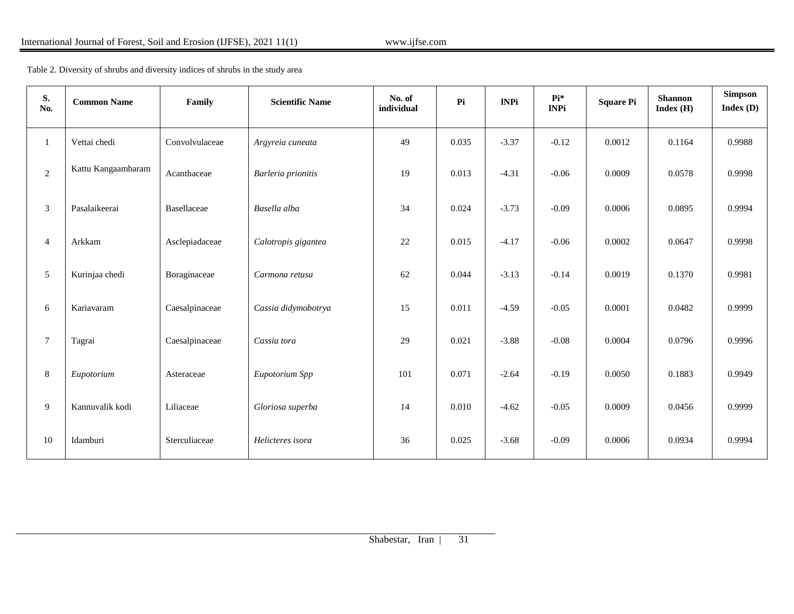Table 2. Diversity of shrubs and diversity indices of shrubs in the study area

| S.<br>No.      | <b>Common Name</b> | Family         | <b>Scientific Name</b> | No. of<br>individual | Pi    | <b>INPi</b> | $Pi*$<br><b>INPi</b> | <b>Square Pi</b> | <b>Shannon</b><br>Index(H) | $\begin{minipage}{.4\linewidth} \begin{tabular}{l} \bf Simpson \\ \bf \end{tabular} \end{minipage}$<br>Index(D) |
|----------------|--------------------|----------------|------------------------|----------------------|-------|-------------|----------------------|------------------|----------------------------|-----------------------------------------------------------------------------------------------------------------|
|                | Vettai chedi       | Convolvulaceae | Argyreia cuneata       | 49                   | 0.035 | $-3.37$     | $-0.12$              | 0.0012           | 0.1164                     | 0.9988                                                                                                          |
| $\overline{2}$ | Kattu Kangaambaram | Acanthaceae    | Barleria prionitis     | 19                   | 0.013 | $-4.31$     | $-0.06$              | 0.0009           | 0.0578                     | 0.9998                                                                                                          |
| 3              | Pasalaikeerai      | Basellaceae    | Basella alba           | 34                   | 0.024 | $-3.73$     | $-0.09$              | 0.0006           | 0.0895                     | 0.9994                                                                                                          |
| $\overline{4}$ | Arkkam             | Asclepiadaceae | Calotropis gigantea    | 22                   | 0.015 | $-4.17$     | $-0.06$              | 0.0002           | 0.0647                     | 0.9998                                                                                                          |
| 5              | Kurinjaa chedi     | Boraginaceae   | Carmona retusa         | 62                   | 0.044 | $-3.13$     | $-0.14$              | 0.0019           | 0.1370                     | 0.9981                                                                                                          |
| 6              | Kariavaram         | Caesalpinaceae | Cassia didymobotrya    | 15                   | 0.011 | $-4.59$     | $-0.05$              | 0.0001           | 0.0482                     | 0.9999                                                                                                          |
| $\overline{7}$ | Tagrai             | Caesalpinaceae | Cassia tora            | 29                   | 0.021 | $-3.88$     | $-0.08$              | 0.0004           | 0.0796                     | 0.9996                                                                                                          |
| 8              | Eupotorium         | Asteraceae     | Eupotorium Spp         | 101                  | 0.071 | $-2.64$     | $-0.19$              | 0.0050           | 0.1883                     | 0.9949                                                                                                          |
| 9              | Kannuvalik kodi    | Liliaceae      | Gloriosa superba       | 14                   | 0.010 | $-4.62$     | $-0.05$              | 0.0009           | 0.0456                     | 0.9999                                                                                                          |
| 10             | Idamburi           | Sterculiaceae  | Helicteres isora       | 36                   | 0.025 | $-3.68$     | $-0.09$              | 0.0006           | 0.0934                     | 0.9994                                                                                                          |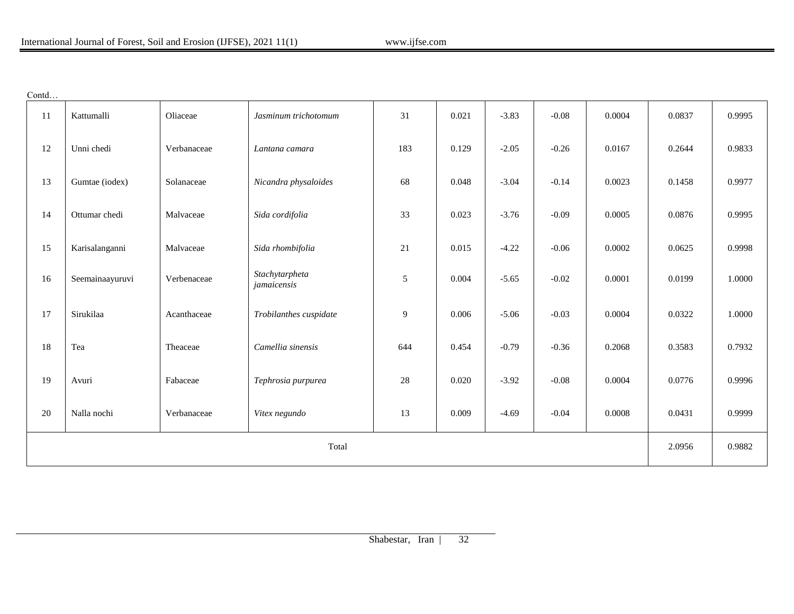| .ontd |  |  |
|-------|--|--|
|       |  |  |

| 11    | Kattumalli      | Oliaceae    | Jasminum trichotomum          | 31  | 0.021 | $-3.83$ | $-0.08$ | 0.0004 | 0.0837 | 0.9995 |
|-------|-----------------|-------------|-------------------------------|-----|-------|---------|---------|--------|--------|--------|
| 12    | Unni chedi      | Verbanaceae | Lantana camara                | 183 | 0.129 | $-2.05$ | $-0.26$ | 0.0167 | 0.2644 | 0.9833 |
| 13    | Gumtae (iodex)  | Solanaceae  | Nicandra physaloides          | 68  | 0.048 | $-3.04$ | $-0.14$ | 0.0023 | 0.1458 | 0.9977 |
| 14    | Ottumar chedi   | Malvaceae   | Sida cordifolia               | 33  | 0.023 | $-3.76$ | $-0.09$ | 0.0005 | 0.0876 | 0.9995 |
| 15    | Karisalanganni  | Malvaceae   | Sida rhombifolia              | 21  | 0.015 | $-4.22$ | $-0.06$ | 0.0002 | 0.0625 | 0.9998 |
| 16    | Seemainaayuruvi | Verbenaceae | Stachytarpheta<br>jamaicensis | 5   | 0.004 | $-5.65$ | $-0.02$ | 0.0001 | 0.0199 | 1.0000 |
| 17    | Sirukilaa       | Acanthaceae | Trobilanthes cuspidate        | 9   | 0.006 | $-5.06$ | $-0.03$ | 0.0004 | 0.0322 | 1.0000 |
| 18    | Tea             | Theaceae    | Camellia sinensis             | 644 | 0.454 | $-0.79$ | $-0.36$ | 0.2068 | 0.3583 | 0.7932 |
| 19    | Avuri           | Fabaceae    | Tephrosia purpurea            | 28  | 0.020 | $-3.92$ | $-0.08$ | 0.0004 | 0.0776 | 0.9996 |
| 20    | Nalla nochi     | Verbanaceae | Vitex negundo                 | 13  | 0.009 | $-4.69$ | $-0.04$ | 0.0008 | 0.0431 | 0.9999 |
| Total |                 |             |                               |     |       |         |         | 2.0956 | 0.9882 |        |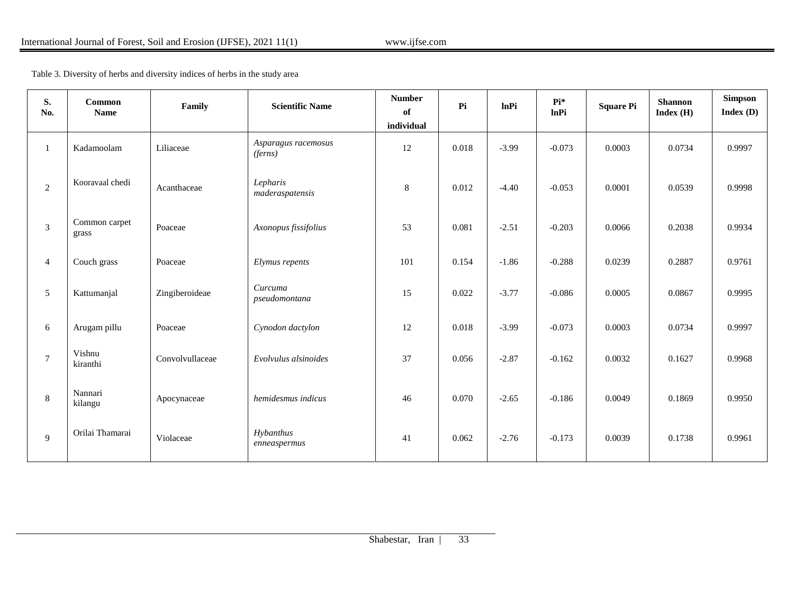Table 3. Diversity of herbs and diversity indices of herbs in the study area

| S.<br>No.      | <b>Common</b><br><b>Name</b> | Family          | <b>Scientific Name</b>         | <b>Number</b><br>of<br>individual | P <sub>i</sub> | <b>lnPi</b> | Pi*<br><b>lnPi</b> | <b>Square Pi</b> | <b>Shannon</b><br>Index(H) | Simpson<br>Index(D) |
|----------------|------------------------------|-----------------|--------------------------------|-----------------------------------|----------------|-------------|--------------------|------------------|----------------------------|---------------------|
| $\mathbf{1}$   | Kadamoolam                   | Liliaceae       | Asparagus racemosus<br>(ferns) | 12                                | 0.018          | $-3.99$     | $-0.073$           | 0.0003           | 0.0734                     | 0.9997              |
| 2              | Kooravaal chedi              | Acanthaceae     | Lepharis<br>maderaspatensis    | 8                                 | 0.012          | $-4.40$     | $-0.053$           | 0.0001           | 0.0539                     | 0.9998              |
| 3              | Common carpet<br>grass       | Poaceae         | Axonopus fissifolius           | 53                                | 0.081          | $-2.51$     | $-0.203$           | 0.0066           | 0.2038                     | 0.9934              |
| $\overline{4}$ | Couch grass                  | Poaceae         | Elymus repents                 | 101                               | 0.154          | $-1.86$     | $-0.288$           | 0.0239           | 0.2887                     | 0.9761              |
| 5              | Kattumanjal                  | Zingiberoideae  | Curcuma<br>pseudomontana       | 15                                | 0.022          | $-3.77$     | $-0.086$           | 0.0005           | 0.0867                     | 0.9995              |
| 6              | Arugam pillu                 | Poaceae         | Cynodon dactylon               | 12                                | 0.018          | $-3.99$     | $-0.073$           | 0.0003           | 0.0734                     | 0.9997              |
| $\tau$         | Vishnu<br>kiranthi           | Convolvullaceae | Evolvulus alsinoides           | 37                                | 0.056          | $-2.87$     | $-0.162$           | 0.0032           | 0.1627                     | 0.9968              |
| 8              | Nannari<br>kilangu           | Apocynaceae     | hemidesmus indicus             | 46                                | 0.070          | $-2.65$     | $-0.186$           | 0.0049           | 0.1869                     | 0.9950              |
| 9              | Orilai Thamarai              | Violaceae       | Hybanthus<br>enneaspermus      | 41                                | 0.062          | $-2.76$     | $-0.173$           | 0.0039           | 0.1738                     | 0.9961              |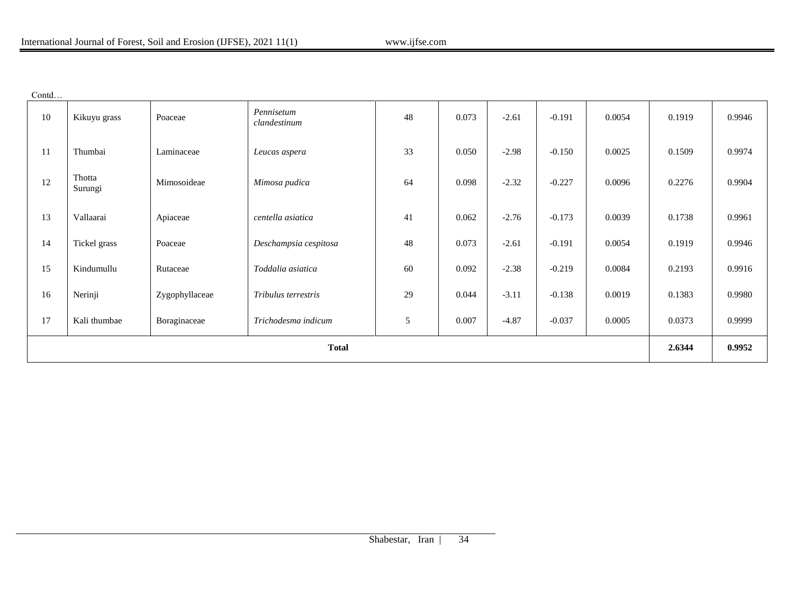| onta |
|------|
|------|

| 10           | Kikuyu grass      | Poaceae        | Pennisetum<br>clandestinum | 48 | 0.073 | $-2.61$ | $-0.191$ | 0.0054 | 0.1919 | 0.9946 |
|--------------|-------------------|----------------|----------------------------|----|-------|---------|----------|--------|--------|--------|
| 11           | Thumbai           | Laminaceae     | Leucas aspera              | 33 | 0.050 | $-2.98$ | $-0.150$ | 0.0025 | 0.1509 | 0.9974 |
| 12           | Thotta<br>Surungi | Mimosoideae    | Mimosa pudica              | 64 | 0.098 | $-2.32$ | $-0.227$ | 0.0096 | 0.2276 | 0.9904 |
| 13           | Vallaarai         | Apiaceae       | centella asiatica          | 41 | 0.062 | $-2.76$ | $-0.173$ | 0.0039 | 0.1738 | 0.9961 |
| 14           | Tickel grass      | Poaceae        | Deschampsia cespitosa      | 48 | 0.073 | $-2.61$ | $-0.191$ | 0.0054 | 0.1919 | 0.9946 |
| 15           | Kindumullu        | Rutaceae       | Toddalia asiatica          | 60 | 0.092 | $-2.38$ | $-0.219$ | 0.0084 | 0.2193 | 0.9916 |
| 16           | Nerinji           | Zygophyllaceae | Tribulus terrestris        | 29 | 0.044 | $-3.11$ | $-0.138$ | 0.0019 | 0.1383 | 0.9980 |
| 17           | Kali thumbae      | Boraginaceae   | Trichodesma indicum        | 5  | 0.007 | $-4.87$ | $-0.037$ | 0.0005 | 0.0373 | 0.9999 |
| <b>Total</b> |                   |                |                            |    |       |         |          | 2.6344 | 0.9952 |        |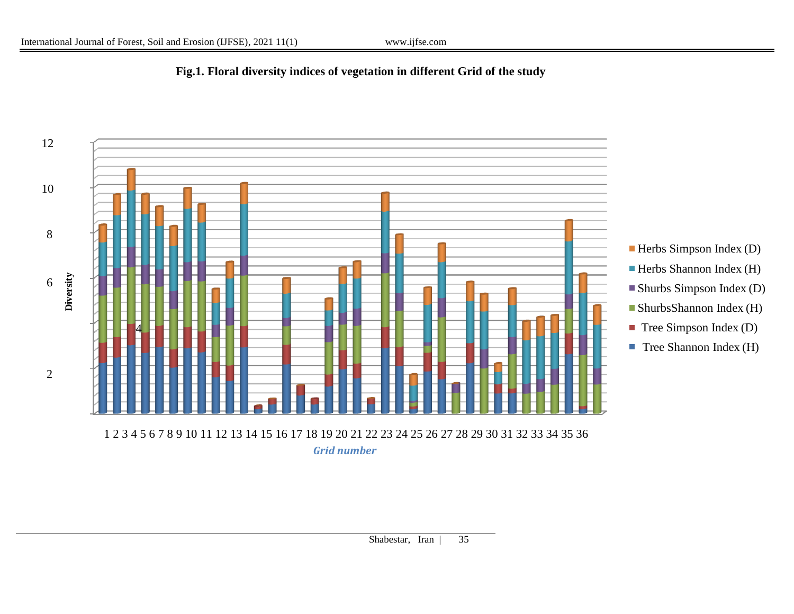